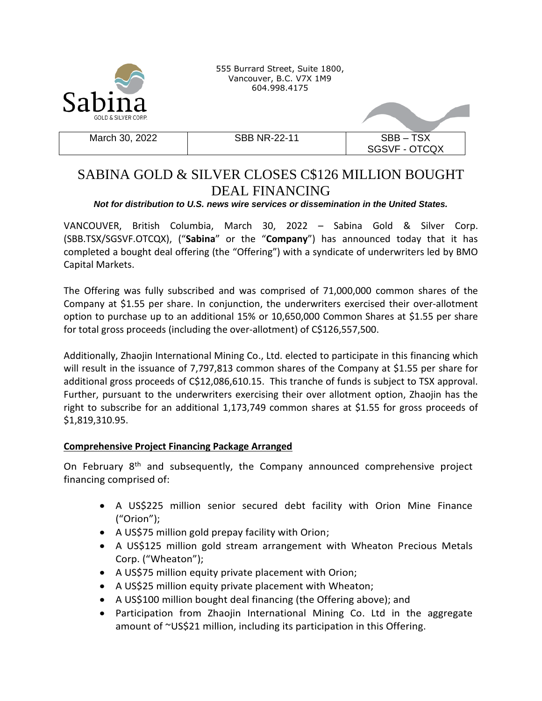

555 Burrard Street, Suite 1800, Vancouver, B.C. V7X 1M9 604.998.4175

March 30, 2022 **SBB NR-22-11** SBB – TSX

SGSVF - OTCQX

# SABINA GOLD & SILVER CLOSES C\$126 MILLION BOUGHT DEAL FINANCING

## *Not for distribution to U.S. news wire services or dissemination in the United States.*

VANCOUVER, British Columbia, March 30, 2022 – Sabina Gold & Silver Corp. (SBB.TSX/SGSVF.OTCQX), ("**Sabina**" or the "**Company**") has announced today that it has completed a bought deal offering (the "Offering") with a syndicate of underwriters led by BMO Capital Markets.

The Offering was fully subscribed and was comprised of 71,000,000 common shares of the Company at \$1.55 per share. In conjunction, the underwriters exercised their over-allotment option to purchase up to an additional 15% or 10,650,000 Common Shares at \$1.55 per share for total gross proceeds (including the over-allotment) of C\$126,557,500.

Additionally, Zhaojin International Mining Co., Ltd. elected to participate in this financing which will result in the issuance of 7,797,813 common shares of the Company at \$1.55 per share for additional gross proceeds of C\$12,086,610.15. This tranche of funds is subject to TSX approval. Further, pursuant to the underwriters exercising their over allotment option, Zhaojin has the right to subscribe for an additional 1,173,749 common shares at \$1.55 for gross proceeds of \$1,819,310.95.

## **Comprehensive Project Financing Package Arranged**

On February 8<sup>th</sup> and subsequently, the Company announced comprehensive project financing comprised of:

- A US\$225 million senior secured debt facility with Orion Mine Finance ("Orion");
- A US\$75 million gold prepay facility with Orion;
- A US\$125 million gold stream arrangement with Wheaton Precious Metals Corp. ("Wheaton");
- A US\$75 million equity private placement with Orion;
- A US\$25 million equity private placement with Wheaton;
- A US\$100 million bought deal financing (the Offering above); and
- Participation from Zhaojin International Mining Co. Ltd in the aggregate amount of ~US\$21 million, including its participation in this Offering.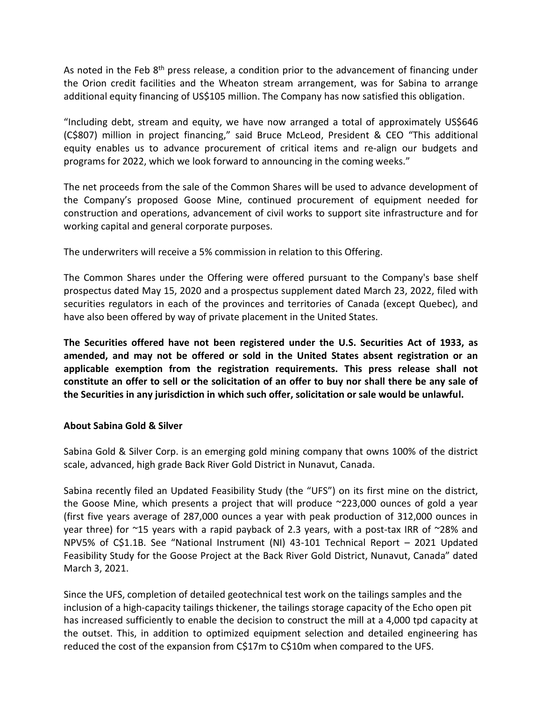As noted in the Feb 8<sup>th</sup> press release, a condition prior to the advancement of financing under the Orion credit facilities and the Wheaton stream arrangement, was for Sabina to arrange additional equity financing of US\$105 million. The Company has now satisfied this obligation.

"Including debt, stream and equity, we have now arranged a total of approximately US\$646 (C\$807) million in project financing," said Bruce McLeod, President & CEO "This additional equity enables us to advance procurement of critical items and re-align our budgets and programs for 2022, which we look forward to announcing in the coming weeks."

The net proceeds from the sale of the Common Shares will be used to advance development of the Company's proposed Goose Mine, continued procurement of equipment needed for construction and operations, advancement of civil works to support site infrastructure and for working capital and general corporate purposes.

The underwriters will receive a 5% commission in relation to this Offering.

The Common Shares under the Offering were offered pursuant to the Company's base shelf prospectus dated May 15, 2020 and a prospectus supplement dated March 23, 2022, filed with securities regulators in each of the provinces and territories of Canada (except Quebec), and have also been offered by way of private placement in the United States.

**The Securities offered have not been registered under the U.S. Securities Act of 1933, as amended, and may not be offered or sold in the United States absent registration or an applicable exemption from the registration requirements. This press release shall not constitute an offer to sell or the solicitation of an offer to buy nor shall there be any sale of the Securities in any jurisdiction in which such offer, solicitation or sale would be unlawful.**

### **About Sabina Gold & Silver**

Sabina Gold & Silver Corp. is an emerging gold mining company that owns 100% of the district scale, advanced, high grade Back River Gold District in Nunavut, Canada.

Sabina recently filed an Updated Feasibility Study (the "UFS") on its first mine on the district, the Goose Mine, which presents a project that will produce ~223,000 ounces of gold a year (first five years average of 287,000 ounces a year with peak production of 312,000 ounces in year three) for ~15 years with a rapid payback of 2.3 years, with a post-tax IRR of ~28% and NPV5% of C\$1.1B. See "National Instrument (NI) 43-101 Technical Report – 2021 Updated Feasibility Study for the Goose Project at the Back River Gold District, Nunavut, Canada" dated March 3, 2021.

Since the UFS, completion of detailed geotechnical test work on the tailings samples and the inclusion of a high-capacity tailings thickener, the tailings storage capacity of the Echo open pit has increased sufficiently to enable the decision to construct the mill at a 4,000 tpd capacity at the outset. This, in addition to optimized equipment selection and detailed engineering has reduced the cost of the expansion from C\$17m to C\$10m when compared to the UFS.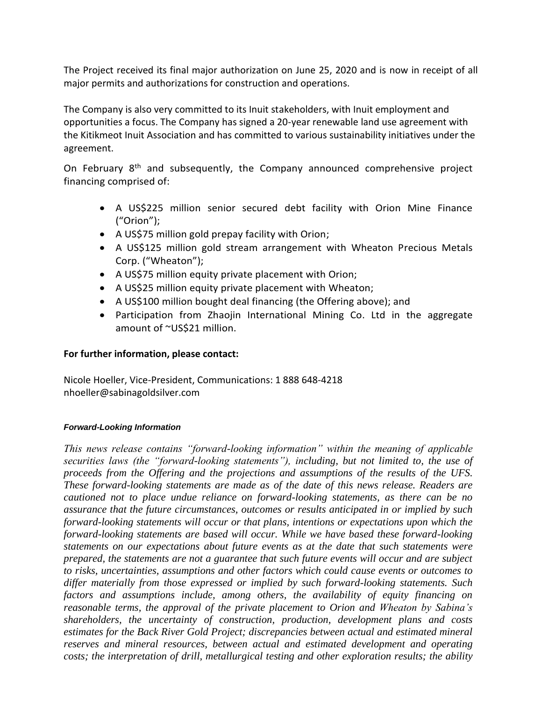The Project received its final major authorization on June 25, 2020 and is now in receipt of all major permits and authorizations for construction and operations.

The Company is also very committed to its Inuit stakeholders, with Inuit employment and opportunities a focus. The Company has signed a 20-year renewable land use agreement with the Kitikmeot Inuit Association and has committed to various sustainability initiatives under the agreement.

On February 8<sup>th</sup> and subsequently, the Company announced comprehensive project financing comprised of:

- A US\$225 million senior secured debt facility with Orion Mine Finance ("Orion");
- A US\$75 million gold prepay facility with Orion;
- A US\$125 million gold stream arrangement with Wheaton Precious Metals Corp. ("Wheaton");
- A US\$75 million equity private placement with Orion;
- A US\$25 million equity private placement with Wheaton;
- A US\$100 million bought deal financing (the Offering above); and
- Participation from Zhaojin International Mining Co. Ltd in the aggregate amount of ~US\$21 million.

## **For further information, please contact:**

Nicole Hoeller, Vice-President, Communications: 1 888 648-4218 nhoeller@sabinagoldsilver.com

### *Forward-Looking Information*

*This news release contains "forward-looking information" within the meaning of applicable securities laws (the "forward-looking statements"), including, but not limited to, the use of proceeds from the Offering and the projections and assumptions of the results of the UFS. These forward-looking statements are made as of the date of this news release. Readers are cautioned not to place undue reliance on forward-looking statements, as there can be no assurance that the future circumstances, outcomes or results anticipated in or implied by such forward-looking statements will occur or that plans, intentions or expectations upon which the forward-looking statements are based will occur. While we have based these forward-looking statements on our expectations about future events as at the date that such statements were prepared, the statements are not a guarantee that such future events will occur and are subject to risks, uncertainties, assumptions and other factors which could cause events or outcomes to differ materially from those expressed or implied by such forward-looking statements. Such factors and assumptions include, among others, the availability of equity financing on reasonable terms, the approval of the private placement to Orion and Wheaton by Sabina's shareholders, the uncertainty of construction, production, development plans and costs estimates for the Back River Gold Project; discrepancies between actual and estimated mineral reserves and mineral resources, between actual and estimated development and operating costs; the interpretation of drill, metallurgical testing and other exploration results; the ability*